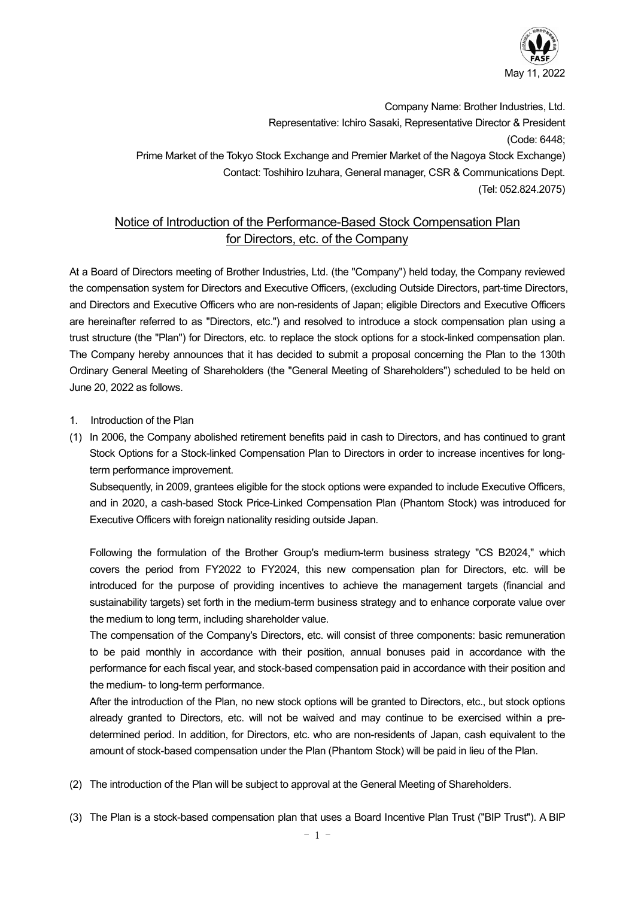

Company Name: Brother Industries, Ltd. Representative: Ichiro Sasaki, Representative Director & President (Code: 6448; Prime Market of the Tokyo Stock Exchange and Premier Market of the Nagoya Stock Exchange) Contact: Toshihiro Izuhara, General manager, CSR & Communications Dept. (Tel: 052.824.2075)

# Notice of Introduction of the Performance-Based Stock Compensation Plan for Directors, etc. of the Company

At a Board of Directors meeting of Brother Industries, Ltd. (the "Company") held today, the Company reviewed the compensation system for Directors and Executive Officers, (excluding Outside Directors, part-time Directors, and Directors and Executive Officers who are non-residents of Japan; eligible Directors and Executive Officers are hereinafter referred to as "Directors, etc.") and resolved to introduce a stock compensation plan using a trust structure (the "Plan") for Directors, etc. to replace the stock options for a stock-linked compensation plan. The Company hereby announces that it has decided to submit a proposal concerning the Plan to the 130th Ordinary General Meeting of Shareholders (the "General Meeting of Shareholders") scheduled to be held on June 20, 2022 as follows.

- 1. Introduction of the Plan
- (1) In 2006, the Company abolished retirement benefits paid in cash to Directors, and has continued to grant Stock Options for a Stock-linked Compensation Plan to Directors in order to increase incentives for longterm performance improvement.

Subsequently, in 2009, grantees eligible for the stock options were expanded to include Executive Officers, and in 2020, a cash-based Stock Price-Linked Compensation Plan (Phantom Stock) was introduced for Executive Officers with foreign nationality residing outside Japan.

Following the formulation of the Brother Group's medium-term business strategy "CS B2024," which covers the period from FY2022 to FY2024, this new compensation plan for Directors, etc. will be introduced for the purpose of providing incentives to achieve the management targets (financial and sustainability targets) set forth in the medium-term business strategy and to enhance corporate value over the medium to long term, including shareholder value.

The compensation of the Company's Directors, etc. will consist of three components: basic remuneration to be paid monthly in accordance with their position, annual bonuses paid in accordance with the performance for each fiscal year, and stock-based compensation paid in accordance with their position and the medium- to long-term performance.

After the introduction of the Plan, no new stock options will be granted to Directors, etc., but stock options already granted to Directors, etc. will not be waived and may continue to be exercised within a predetermined period. In addition, for Directors, etc. who are non-residents of Japan, cash equivalent to the amount of stock-based compensation under the Plan (Phantom Stock) will be paid in lieu of the Plan.

- (2) The introduction of the Plan will be subject to approval at the General Meeting of Shareholders.
- (3) The Plan is a stock-based compensation plan that uses a Board Incentive Plan Trust ("BIP Trust"). A BIP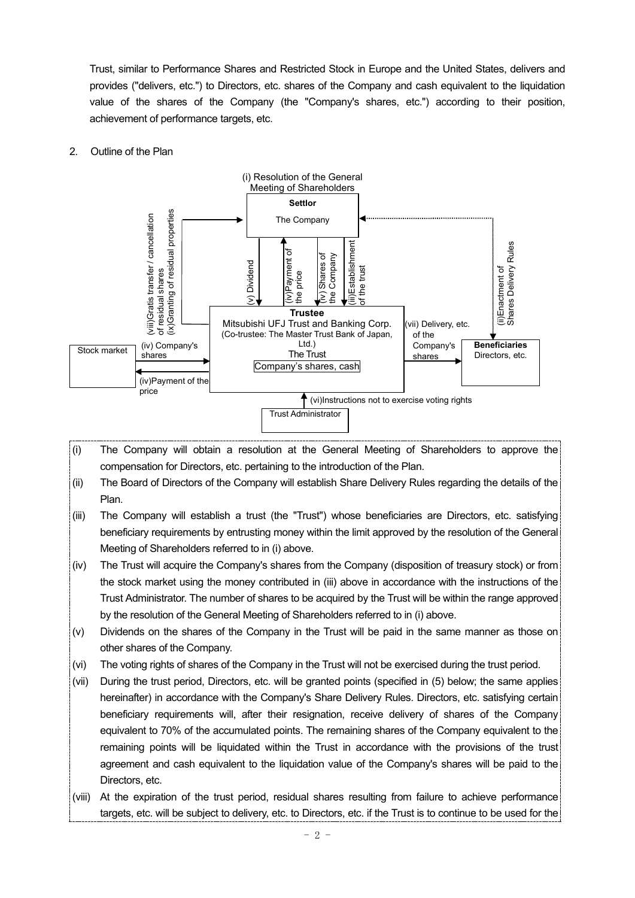Trust, similar to Performance Shares and Restricted Stock in Europe and the United States, delivers and provides ("delivers, etc.") to Directors, etc. shares of the Company and cash equivalent to the liquidation value of the shares of the Company (the "Company's shares, etc.") according to their position, achievement of performance targets, etc.

### 2. Outline of the Plan



- (i) The Company will obtain a resolution at the General Meeting of Shareholders to approve the compensation for Directors, etc. pertaining to the introduction of the Plan.
- (ii) The Board of Directors of the Company will establish Share Delivery Rules regarding the details of the Plan.
- (iii) The Company will establish a trust (the "Trust") whose beneficiaries are Directors, etc. satisfying beneficiary requirements by entrusting money within the limit approved by the resolution of the General Meeting of Shareholders referred to in (i) above.
- (iv) The Trust will acquire the Company's shares from the Company (disposition of treasury stock) or from the stock market using the money contributed in (iii) above in accordance with the instructions of the Trust Administrator. The number of shares to be acquired by the Trust will be within the range approved by the resolution of the General Meeting of Shareholders referred to in (i) above.
- (v) Dividends on the shares of the Company in the Trust will be paid in the same manner as those on other shares of the Company.
- (vi) The voting rights of shares of the Company in the Trust will not be exercised during the trust period.
- (vii) During the trust period, Directors, etc. will be granted points (specified in (5) below; the same applies hereinafter) in accordance with the Company's Share Delivery Rules. Directors, etc. satisfying certain beneficiary requirements will, after their resignation, receive delivery of shares of the Company equivalent to 70% of the accumulated points. The remaining shares of the Company equivalent to the remaining points will be liquidated within the Trust in accordance with the provisions of the trust agreement and cash equivalent to the liquidation value of the Company's shares will be paid to the Directors, etc.
- (viii) At the expiration of the trust period, residual shares resulting from failure to achieve performance targets, etc. will be subject to delivery, etc. to Directors, etc. if the Trust is to continue to be used for the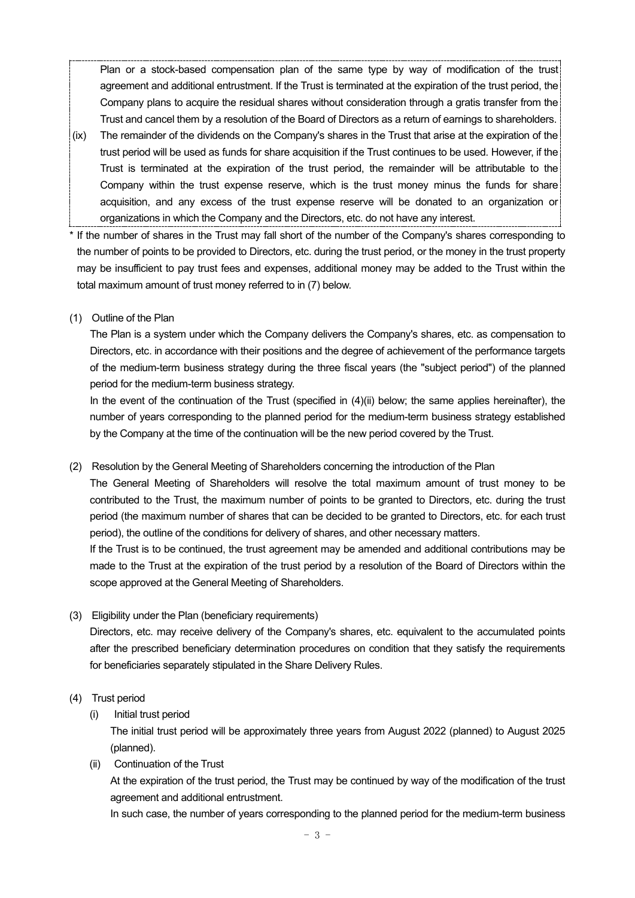Plan or a stock-based compensation plan of the same type by way of modification of the trust agreement and additional entrustment. If the Trust is terminated at the expiration of the trust period, the Company plans to acquire the residual shares without consideration through a gratis transfer from the Trust and cancel them by a resolution of the Board of Directors as a return of earnings to shareholders.

- (ix) The remainder of the dividends on the Company's shares in the Trust that arise at the expiration of the trust period will be used as funds for share acquisition if the Trust continues to be used. However, if the Trust is terminated at the expiration of the trust period, the remainder will be attributable to the Company within the trust expense reserve, which is the trust money minus the funds for share acquisition, and any excess of the trust expense reserve will be donated to an organization or organizations in which the Company and the Directors, etc. do not have any interest.
- If the number of shares in the Trust may fall short of the number of the Company's shares corresponding to the number of points to be provided to Directors, etc. during the trust period, or the money in the trust property may be insufficient to pay trust fees and expenses, additional money may be added to the Trust within the total maximum amount of trust money referred to in (7) below.
- (1) Outline of the Plan

The Plan is a system under which the Company delivers the Company's shares, etc. as compensation to Directors, etc. in accordance with their positions and the degree of achievement of the performance targets of the medium-term business strategy during the three fiscal years (the "subject period") of the planned period for the medium-term business strategy.

In the event of the continuation of the Trust (specified in  $(4)(ii)$  below; the same applies hereinafter), the number of years corresponding to the planned period for the medium-term business strategy established by the Company at the time of the continuation will be the new period covered by the Trust.

(2) Resolution by the General Meeting of Shareholders concerning the introduction of the Plan

The General Meeting of Shareholders will resolve the total maximum amount of trust money to be contributed to the Trust, the maximum number of points to be granted to Directors, etc. during the trust period (the maximum number of shares that can be decided to be granted to Directors, etc. for each trust period), the outline of the conditions for delivery of shares, and other necessary matters.

If the Trust is to be continued, the trust agreement may be amended and additional contributions may be made to the Trust at the expiration of the trust period by a resolution of the Board of Directors within the scope approved at the General Meeting of Shareholders.

(3) Eligibility under the Plan (beneficiary requirements)

Directors, etc. may receive delivery of the Company's shares, etc. equivalent to the accumulated points after the prescribed beneficiary determination procedures on condition that they satisfy the requirements for beneficiaries separately stipulated in the Share Delivery Rules.

- (4) Trust period
	- (i) Initial trust period

The initial trust period will be approximately three years from August 2022 (planned) to August 2025 (planned).

(ii) Continuation of the Trust

At the expiration of the trust period, the Trust may be continued by way of the modification of the trust agreement and additional entrustment.

In such case, the number of years corresponding to the planned period for the medium-term business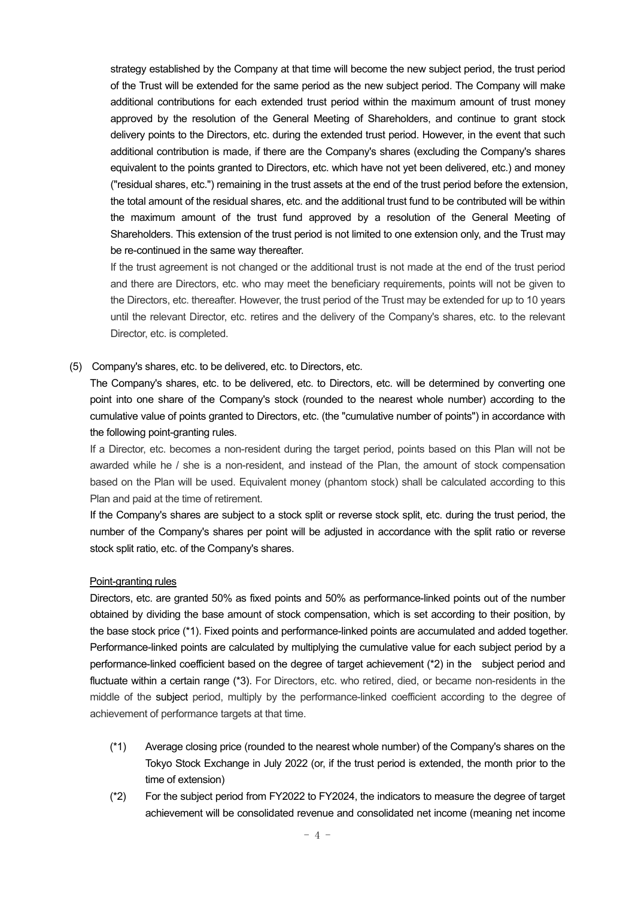strategy established by the Company at that time will become the new subject period, the trust period of the Trust will be extended for the same period as the new subject period. The Company will make additional contributions for each extended trust period within the maximum amount of trust money approved by the resolution of the General Meeting of Shareholders, and continue to grant stock delivery points to the Directors, etc. during the extended trust period. However, in the event that such additional contribution is made, if there are the Company's shares (excluding the Company's shares equivalent to the points granted to Directors, etc. which have not yet been delivered, etc.) and money ("residual shares, etc.") remaining in the trust assets at the end of the trust period before the extension, the total amount of the residual shares, etc. and the additional trust fund to be contributed will be within the maximum amount of the trust fund approved by a resolution of the General Meeting of Shareholders. This extension of the trust period is not limited to one extension only, and the Trust may be re-continued in the same way thereafter.

If the trust agreement is not changed or the additional trust is not made at the end of the trust period and there are Directors, etc. who may meet the beneficiary requirements, points will not be given to the Directors, etc. thereafter. However, the trust period of the Trust may be extended for up to 10 years until the relevant Director, etc. retires and the delivery of the Company's shares, etc. to the relevant Director, etc. is completed.

(5) Company's shares, etc. to be delivered, etc. to Directors, etc.

The Company's shares, etc. to be delivered, etc. to Directors, etc. will be determined by converting one point into one share of the Company's stock (rounded to the nearest whole number) according to the cumulative value of points granted to Directors, etc. (the "cumulative number of points") in accordance with the following point-granting rules.

If a Director, etc. becomes a non-resident during the target period, points based on this Plan will not be awarded while he / she is a non-resident, and instead of the Plan, the amount of stock compensation based on the Plan will be used. Equivalent money (phantom stock) shall be calculated according to this Plan and paid at the time of retirement.

If the Company's shares are subject to a stock split or reverse stock split, etc. during the trust period, the number of the Company's shares per point will be adjusted in accordance with the split ratio or reverse stock split ratio, etc. of the Company's shares.

#### Point-granting rules

Directors, etc. are granted 50% as fixed points and 50% as performance-linked points out of the number obtained by dividing the base amount of stock compensation, which is set according to their position, by the base stock price (\*1). Fixed points and performance-linked points are accumulated and added together. Performance-linked points are calculated by multiplying the cumulative value for each subject period by a performance-linked coefficient based on the degree of target achievement (\*2) in the subject period and fluctuate within a certain range (\*3). For Directors, etc. who retired, died, or became non-residents in the middle of the subject period, multiply by the performance-linked coefficient according to the degree of achievement of performance targets at that time.

- (\*1) Average closing price (rounded to the nearest whole number) of the Company's shares on the Tokyo Stock Exchange in July 2022 (or, if the trust period is extended, the month prior to the time of extension)
- (\*2) For the subject period from FY2022 to FY2024, the indicators to measure the degree of target achievement will be consolidated revenue and consolidated net income (meaning net income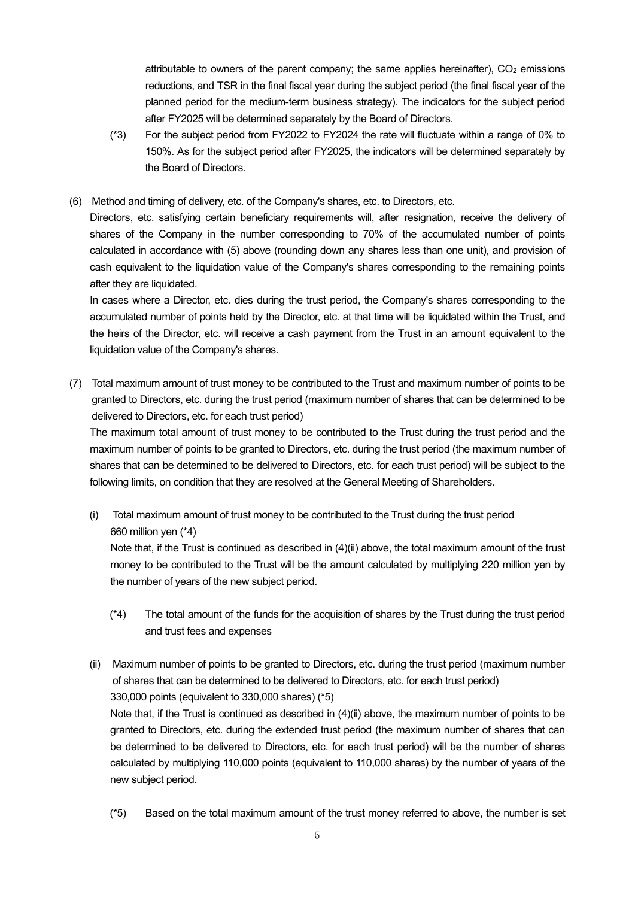attributable to owners of the parent company; the same applies hereinafter),  $CO<sub>2</sub>$  emissions reductions, and TSR in the final fiscal year during the subject period (the final fiscal year of the planned period for the medium-term business strategy). The indicators for the subject period after FY2025 will be determined separately by the Board of Directors.

- (\*3) For the subject period from FY2022 to FY2024 the rate will fluctuate within a range of 0% to 150%. As for the subject period after FY2025, the indicators will be determined separately by the Board of Directors.
- (6) Method and timing of delivery, etc. of the Company's shares, etc. to Directors, etc.

Directors, etc. satisfying certain beneficiary requirements will, after resignation, receive the delivery of shares of the Company in the number corresponding to 70% of the accumulated number of points calculated in accordance with (5) above (rounding down any shares less than one unit), and provision of cash equivalent to the liquidation value of the Company's shares corresponding to the remaining points after they are liquidated.

In cases where a Director, etc. dies during the trust period, the Company's shares corresponding to the accumulated number of points held by the Director, etc. at that time will be liquidated within the Trust, and the heirs of the Director, etc. will receive a cash payment from the Trust in an amount equivalent to the liquidation value of the Company's shares.

(7) Total maximum amount of trust money to be contributed to the Trust and maximum number of points to be granted to Directors, etc. during the trust period (maximum number of shares that can be determined to be delivered to Directors, etc. for each trust period)

The maximum total amount of trust money to be contributed to the Trust during the trust period and the maximum number of points to be granted to Directors, etc. during the trust period (the maximum number of shares that can be determined to be delivered to Directors, etc. for each trust period) will be subject to the following limits, on condition that they are resolved at the General Meeting of Shareholders.

(i) Total maximum amount of trust money to be contributed to the Trust during the trust period 660 million yen (\*4)

Note that, if the Trust is continued as described in (4)(ii) above, the total maximum amount of the trust money to be contributed to the Trust will be the amount calculated by multiplying 220 million yen by the number of years of the new subject period.

- (\*4) The total amount of the funds for the acquisition of shares by the Trust during the trust period and trust fees and expenses
- (ii) Maximum number of points to be granted to Directors, etc. during the trust period (maximum number of shares that can be determined to be delivered to Directors, etc. for each trust period) 330,000 points (equivalent to 330,000 shares) (\*5) Note that, if the Trust is continued as described in  $(4)(ii)$  above, the maximum number of points to be granted to Directors, etc. during the extended trust period (the maximum number of shares that can be determined to be delivered to Directors, etc. for each trust period) will be the number of shares calculated by multiplying 110,000 points (equivalent to 110,000 shares) by the number of years of the new subject period.
	- (\*5) Based on the total maximum amount of the trust money referred to above, the number is set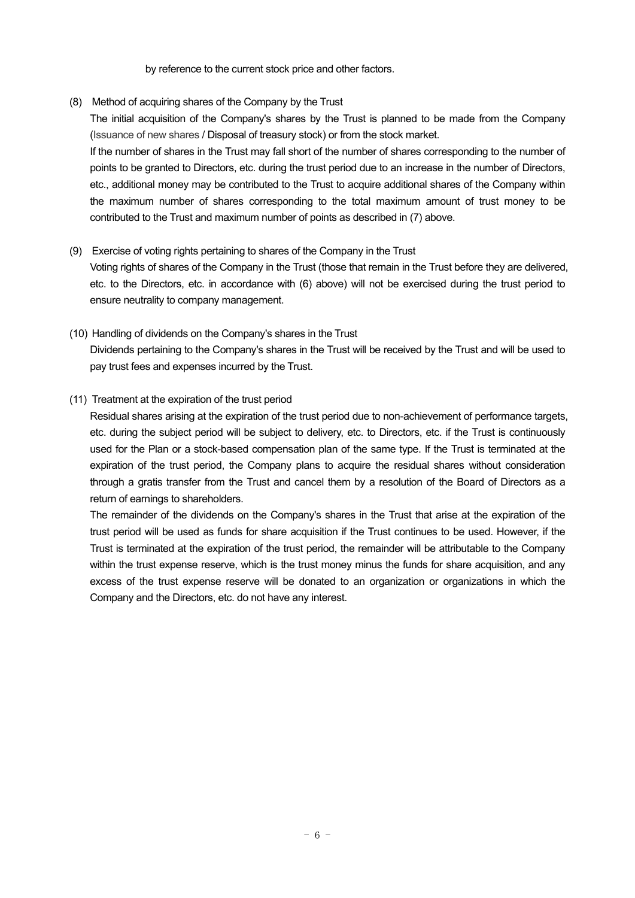by reference to the current stock price and other factors.

(8) Method of acquiring shares of the Company by the Trust

The initial acquisition of the Company's shares by the Trust is planned to be made from the Company (Issuance of new shares / Disposal of treasury stock) or from the stock market.

If the number of shares in the Trust may fall short of the number of shares corresponding to the number of points to be granted to Directors, etc. during the trust period due to an increase in the number of Directors, etc., additional money may be contributed to the Trust to acquire additional shares of the Company within the maximum number of shares corresponding to the total maximum amount of trust money to be contributed to the Trust and maximum number of points as described in (7) above.

#### (9) Exercise of voting rights pertaining to shares of the Company in the Trust

Voting rights of shares of the Company in the Trust (those that remain in the Trust before they are delivered, etc. to the Directors, etc. in accordance with (6) above) will not be exercised during the trust period to ensure neutrality to company management.

(10) Handling of dividends on the Company's shares in the Trust Dividends pertaining to the Company's shares in the Trust will be received by the Trust and will be used to pay trust fees and expenses incurred by the Trust.

# (11) Treatment at the expiration of the trust period

Residual shares arising at the expiration of the trust period due to non-achievement of performance targets, etc. during the subject period will be subject to delivery, etc. to Directors, etc. if the Trust is continuously used for the Plan or a stock-based compensation plan of the same type. If the Trust is terminated at the expiration of the trust period, the Company plans to acquire the residual shares without consideration through a gratis transfer from the Trust and cancel them by a resolution of the Board of Directors as a return of earnings to shareholders.

The remainder of the dividends on the Company's shares in the Trust that arise at the expiration of the trust period will be used as funds for share acquisition if the Trust continues to be used. However, if the Trust is terminated at the expiration of the trust period, the remainder will be attributable to the Company within the trust expense reserve, which is the trust money minus the funds for share acquisition, and any excess of the trust expense reserve will be donated to an organization or organizations in which the Company and the Directors, etc. do not have any interest.